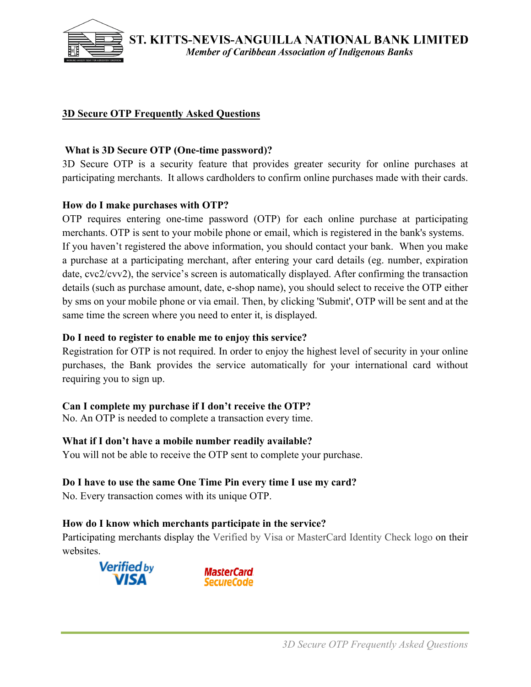

# **3D Secure OTP Frequently Asked Questions**

### **What is 3D Secure OTP (One-time password)?**

3D Secure OTP is a security feature that provides greater security for online purchases at participating merchants. It allows cardholders to confirm online purchases made with their cards.

#### **How do I make purchases with OTP?**

OTP requires entering one-time password (OTP) for each online purchase at participating merchants. OTP is sent to your mobile phone or email, which is registered in the bank's systems. If you haven't registered the above information, you should contact your bank. When you make a purchase at a participating merchant, after entering your card details (eg. number, expiration date, cvc2/cvv2), the service's screen is automatically displayed. After confirming the transaction details (such as purchase amount, date, e-shop name), you should select to receive the OTP either by sms on your mobile phone or via email. Then, by clicking 'Submit', OTP will be sent and at the same time the screen where you need to enter it, is displayed.

#### **Do I need to register to enable me to enjoy this service?**

Registration for OTP is not required. In order to enjoy the highest level of security in your online purchases, the Bank provides the service automatically for your international card without requiring you to sign up.

## **Can I complete my purchase if I don't receive the OTP?**

No. An OTP is needed to complete a transaction every time.

## **What if I don't have a mobile number readily available?**

You will not be able to receive the OTP sent to complete your purchase.

## **Do I have to use the same One Time Pin every time I use my card?**

No. Every transaction comes with its unique OTP.

## **How do I know which merchants participate in the service?**

Participating merchants display the Verified by Visa or MasterCard Identity Check logo on their websites.



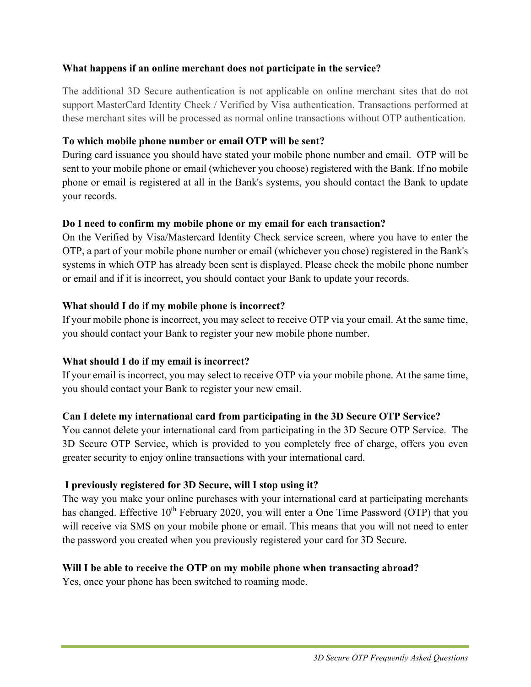## **What happens if an online merchant does not participate in the service?**

The additional 3D Secure authentication is not applicable on online merchant sites that do not support MasterCard Identity Check / Verified by Visa authentication. Transactions performed at these merchant sites will be processed as normal online transactions without OTP authentication.

## **To which mobile phone number or email OTP will be sent?**

During card issuance you should have stated your mobile phone number and email. OTP will be sent to your mobile phone or email (whichever you choose) registered with the Bank. If no mobile phone or email is registered at all in the Bank's systems, you should contact the Bank to update your records.

## **Do I need to confirm my mobile phone or my email for each transaction?**

On the Verified by Visa/Mastercard Identity Check service screen, where you have to enter the OTP, a part of your mobile phone number or email (whichever you chose) registered in the Bank's systems in which OTP has already been sent is displayed. Please check the mobile phone number or email and if it is incorrect, you should contact your Bank to update your records.

## **What should I do if my mobile phone is incorrect?**

If your mobile phone is incorrect, you may select to receive OTP via your email. At the same time, you should contact your Bank to register your new mobile phone number.

## **What should I do if my email is incorrect?**

If your email is incorrect, you may select to receive OTP via your mobile phone. At the same time, you should contact your Bank to register your new email.

## **Can I delete my international card from participating in the 3D Secure OTP Service?**

You cannot delete your international card from participating in the 3D Secure OTP Service. The 3D Secure OTP Service, which is provided to you completely free of charge, offers you even greater security to enjoy online transactions with your international card.

## **I previously registered for 3D Secure, will I stop using it?**

The way you make your online purchases with your international card at participating merchants has changed. Effective  $10^{th}$  February 2020, you will enter a One Time Password (OTP) that you will receive via SMS on your mobile phone or email. This means that you will not need to enter the password you created when you previously registered your card for 3D Secure.

## **Will I be able to receive the OTP on my mobile phone when transacting abroad?**

Yes, once your phone has been switched to roaming mode.